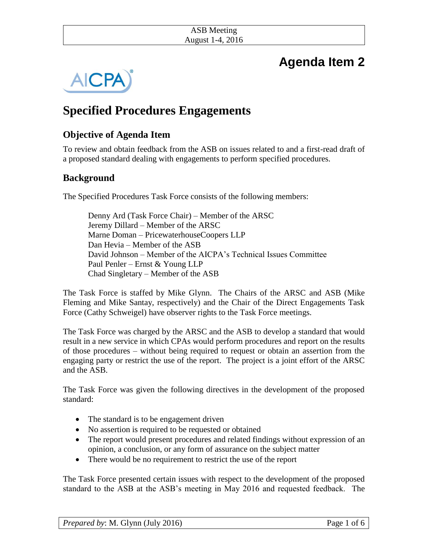# **Agenda Item 2**



## **Specified Procedures Engagements**

## **Objective of Agenda Item**

To review and obtain feedback from the ASB on issues related to and a first-read draft of a proposed standard dealing with engagements to perform specified procedures*.* 

## **Background**

The Specified Procedures Task Force consists of the following members:

Denny Ard (Task Force Chair) – Member of the ARSC Jeremy Dillard – Member of the ARSC Marne Doman – PricewaterhouseCoopers LLP Dan Hevia – Member of the ASB David Johnson – Member of the AICPA's Technical Issues Committee Paul Penler – Ernst & Young LLP Chad Singletary – Member of the ASB

The Task Force is staffed by Mike Glynn. The Chairs of the ARSC and ASB (Mike Fleming and Mike Santay, respectively) and the Chair of the Direct Engagements Task Force (Cathy Schweigel) have observer rights to the Task Force meetings.

The Task Force was charged by the ARSC and the ASB to develop a standard that would result in a new service in which CPAs would perform procedures and report on the results of those procedures – without being required to request or obtain an assertion from the engaging party or restrict the use of the report. The project is a joint effort of the ARSC and the ASB.

The Task Force was given the following directives in the development of the proposed standard:

- The standard is to be engagement driven
- No assertion is required to be requested or obtained
- The report would present procedures and related findings without expression of an opinion, a conclusion, or any form of assurance on the subject matter
- There would be no requirement to restrict the use of the report

The Task Force presented certain issues with respect to the development of the proposed standard to the ASB at the ASB's meeting in May 2016 and requested feedback. The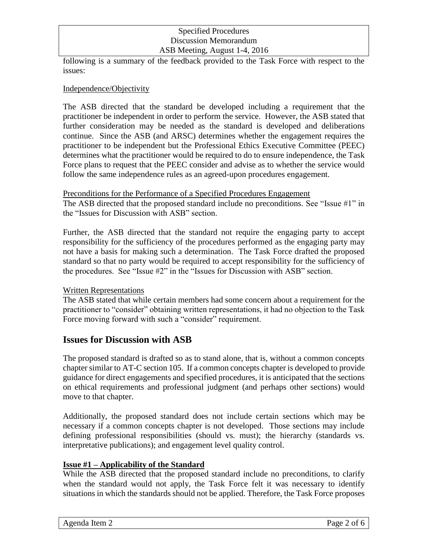following is a summary of the feedback provided to the Task Force with respect to the issues:

#### Independence/Objectivity

The ASB directed that the standard be developed including a requirement that the practitioner be independent in order to perform the service. However, the ASB stated that further consideration may be needed as the standard is developed and deliberations continue. Since the ASB (and ARSC) determines whether the engagement requires the practitioner to be independent but the Professional Ethics Executive Committee (PEEC) determines what the practitioner would be required to do to ensure independence, the Task Force plans to request that the PEEC consider and advise as to whether the service would follow the same independence rules as an agreed-upon procedures engagement.

#### Preconditions for the Performance of a Specified Procedures Engagement

The ASB directed that the proposed standard include no preconditions. See "Issue #1" in the "Issues for Discussion with ASB" section.

Further, the ASB directed that the standard not require the engaging party to accept responsibility for the sufficiency of the procedures performed as the engaging party may not have a basis for making such a determination. The Task Force drafted the proposed standard so that no party would be required to accept responsibility for the sufficiency of the procedures. See "Issue #2" in the "Issues for Discussion with ASB" section.

#### Written Representations

The ASB stated that while certain members had some concern about a requirement for the practitioner to "consider" obtaining written representations, it had no objection to the Task Force moving forward with such a "consider" requirement.

### **Issues for Discussion with ASB**

The proposed standard is drafted so as to stand alone, that is, without a common concepts chapter similar to AT-C section 105. If a common concepts chapter is developed to provide guidance for direct engagements and specified procedures, it is anticipated that the sections on ethical requirements and professional judgment (and perhaps other sections) would move to that chapter.

Additionally, the proposed standard does not include certain sections which may be necessary if a common concepts chapter is not developed. Those sections may include defining professional responsibilities (should vs. must); the hierarchy (standards vs. interpretative publications); and engagement level quality control.

#### **Issue #1 – Applicability of the Standard**

While the ASB directed that the proposed standard include no preconditions, to clarify when the standard would not apply, the Task Force felt it was necessary to identify situations in which the standards should not be applied. Therefore, the Task Force proposes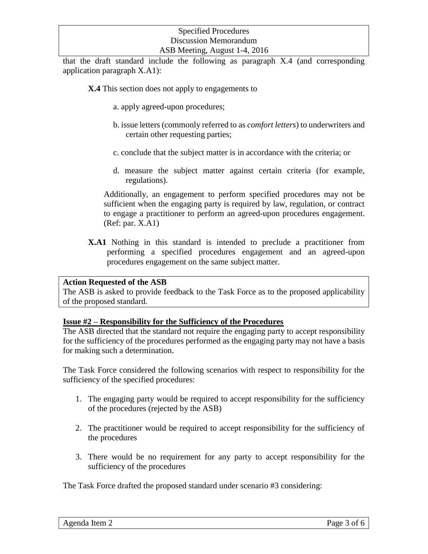that the draft standard include the following as paragraph X.4 (and corresponding application paragraph X.A1):

**X.4** This section does not apply to engagements to

- a. apply agreed-upon procedures;
- b. issue letters (commonly referred to as *comfort letters*) to underwriters and certain other requesting parties;
- c. conclude that the subject matter is in accordance with the criteria; or
- d. measure the subject matter against certain criteria (for example, regulations).

Additionally, an engagement to perform specified procedures may not be sufficient when the engaging party is required by law, regulation, or contract to engage a practitioner to perform an agreed-upon procedures engagement. (Ref: par. X.A1)

**X.A1** Nothing in this standard is intended to preclude a practitioner from performing a specified procedures engagement and an agreed-upon procedures engagement on the same subject matter.

#### **Action Requested of the ASB**

The ASB is asked to provide feedback to the Task Force as to the proposed applicability of the proposed standard.

#### **Issue #2 – Responsibility for the Sufficiency of the Procedures**

The ASB directed that the standard not require the engaging party to accept responsibility for the sufficiency of the procedures performed as the engaging party may not have a basis for making such a determination.

The Task Force considered the following scenarios with respect to responsibility for the sufficiency of the specified procedures:

- 1. The engaging party would be required to accept responsibility for the sufficiency of the procedures (rejected by the ASB)
- 2. The practitioner would be required to accept responsibility for the sufficiency of the procedures
- 3. There would be no requirement for any party to accept responsibility for the sufficiency of the procedures

The Task Force drafted the proposed standard under scenario #3 considering: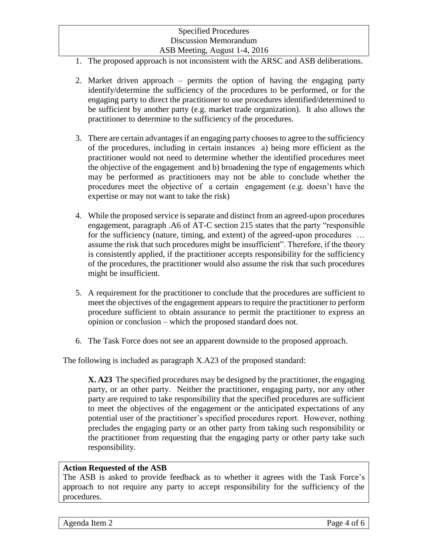- 1. The proposed approach is not inconsistent with the ARSC and ASB deliberations.
- 2. Market driven approach permits the option of having the engaging party identify/determine the sufficiency of the procedures to be performed, or for the engaging party to direct the practitioner to use procedures identified/determined to be sufficient by another party (e.g. market trade organization). It also allows the practitioner to determine to the sufficiency of the procedures.
- 3. There are certain advantages if an engaging party chooses to agree to the sufficiency of the procedures, including in certain instances a) being more efficient as the practitioner would not need to determine whether the identified procedures meet the objective of the engagement and b) broadening the type of engagements which may be performed as practitioners may not be able to conclude whether the procedures meet the objective of a certain engagement (e.g. doesn't have the expertise or may not want to take the risk)
- 4. While the proposed service is separate and distinct from an agreed-upon procedures engagement, paragraph .A6 of AT-C section 215 states that the party "responsible for the sufficiency (nature, timing, and extent) of the agreed-upon procedures … assume the risk that such procedures might be insufficient". Therefore, if the theory is consistently applied, if the practitioner accepts responsibility for the sufficiency of the procedures, the practitioner would also assume the risk that such procedures might be insufficient.
- 5. A requirement for the practitioner to conclude that the procedures are sufficient to meet the objectives of the engagement appears to require the practitioner to perform procedure sufficient to obtain assurance to permit the practitioner to express an opinion or conclusion – which the proposed standard does not.
- 6. The Task Force does not see an apparent downside to the proposed approach.

The following is included as paragraph X.A23 of the proposed standard:

**X. A23** The specified procedures may be designed by the practitioner, the engaging party, or an other party. Neither the practitioner, engaging party, nor any other party are required to take responsibility that the specified procedures are sufficient to meet the objectives of the engagement or the anticipated expectations of any potential user of the practitioner's specified procedures report. However, nothing precludes the engaging party or an other party from taking such responsibility or the practitioner from requesting that the engaging party or other party take such responsibility.

#### **Action Requested of the ASB**

The ASB is asked to provide feedback as to whether it agrees with the Task Force's approach to not require any party to accept responsibility for the sufficiency of the procedures.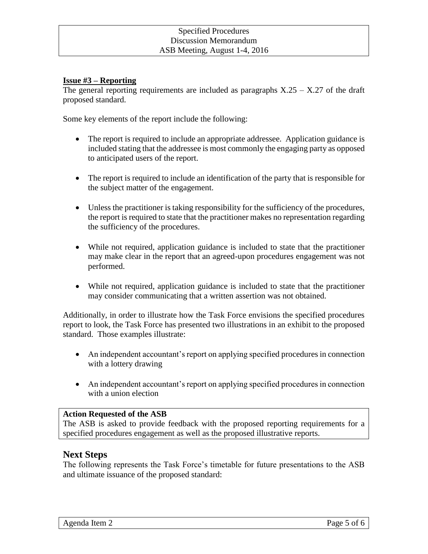#### **Issue #3 – Reporting**

The general reporting requirements are included as paragraphs  $X.25 - X.27$  of the draft proposed standard.

Some key elements of the report include the following:

- The report is required to include an appropriate addressee. Application guidance is included stating that the addressee is most commonly the engaging party as opposed to anticipated users of the report.
- The report is required to include an identification of the party that is responsible for the subject matter of the engagement.
- Unless the practitioner is taking responsibility for the sufficiency of the procedures, the report is required to state that the practitioner makes no representation regarding the sufficiency of the procedures.
- While not required, application guidance is included to state that the practitioner may make clear in the report that an agreed-upon procedures engagement was not performed.
- While not required, application guidance is included to state that the practitioner may consider communicating that a written assertion was not obtained.

Additionally, in order to illustrate how the Task Force envisions the specified procedures report to look, the Task Force has presented two illustrations in an exhibit to the proposed standard. Those examples illustrate:

- An independent accountant's report on applying specified procedures in connection with a lottery drawing
- An independent accountant's report on applying specified procedures in connection with a union election

#### **Action Requested of the ASB**

The ASB is asked to provide feedback with the proposed reporting requirements for a specified procedures engagement as well as the proposed illustrative reports.

#### **Next Steps**

The following represents the Task Force's timetable for future presentations to the ASB and ultimate issuance of the proposed standard: